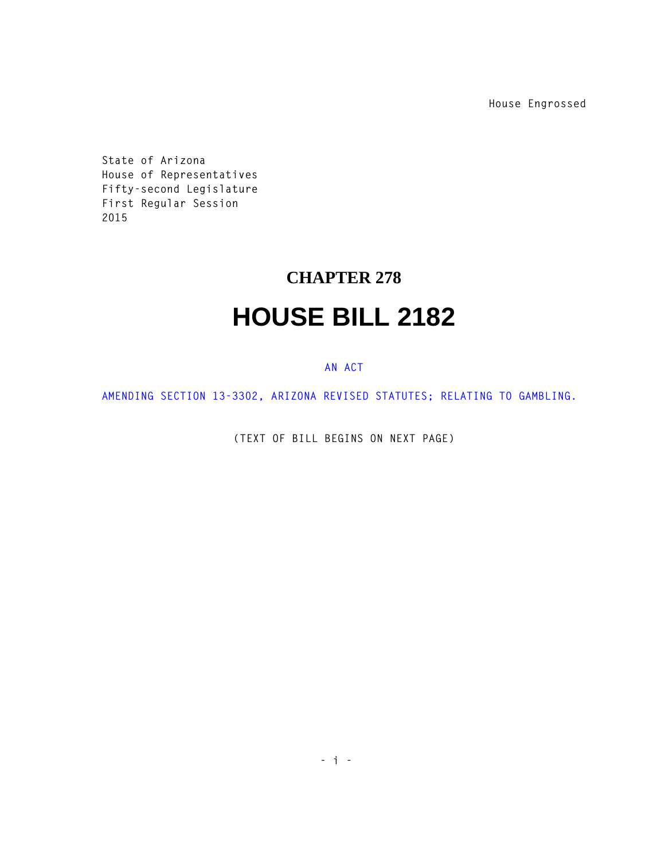**House Engrossed**

**State of Arizona House of Representatives Fifty-second Legislature First Regular Session 2015** 

## **CHAPTER 278 HOUSE BILL 2182**

## **AN ACT**

**AMENDING SECTION 13-3302, ARIZONA REVISED STATUTES; RELATING TO GAMBLING.** 

**(TEXT OF BILL BEGINS ON NEXT PAGE)**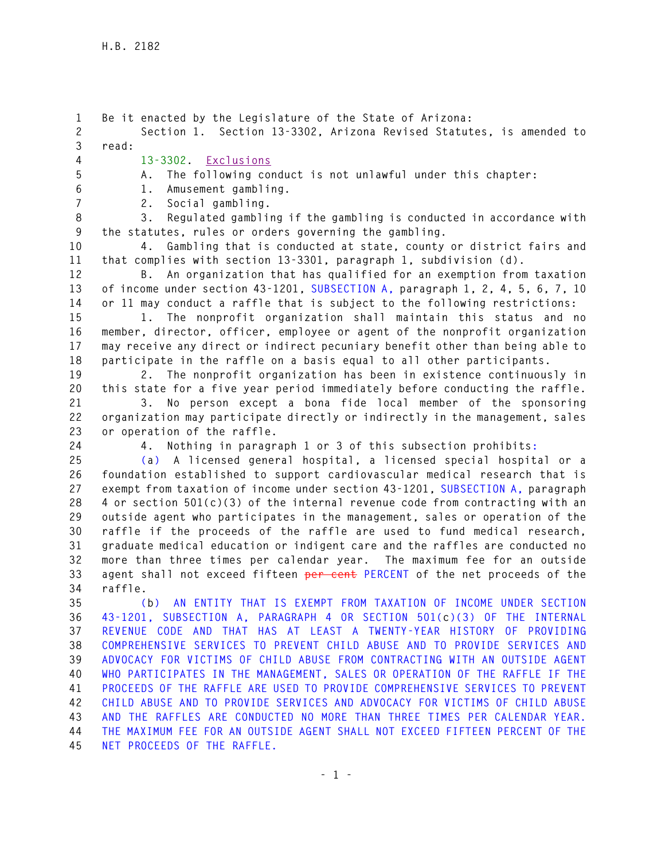**1 Be it enacted by the Legislature of the State of Arizona: 2 Section 1. Section 13-3302, Arizona Revised Statutes, is amended to 3 read: 4 13-3302. Exclusions 5 A. The following conduct is not unlawful under this chapter: 6 1. Amusement gambling. 7 2. Social gambling. 8 3. Regulated gambling if the gambling is conducted in accordance with 9 the statutes, rules or orders governing the gambling. 10 4. Gambling that is conducted at state, county or district fairs and 11 that complies with section 13-3301, paragraph 1, subdivision (d). 12 B. An organization that has qualified for an exemption from taxation 13 of income under section 43-1201, SUBSECTION A, paragraph 1, 2, 4, 5, 6, 7, 10 14 or 11 may conduct a raffle that is subject to the following restrictions: 15 1. The nonprofit organization shall maintain this status and no 16 member, director, officer, employee or agent of the nonprofit organization 17 may receive any direct or indirect pecuniary benefit other than being able to 18 participate in the raffle on a basis equal to all other participants. 19 2. The nonprofit organization has been in existence continuously in 20 this state for a five year period immediately before conducting the raffle. 21 3. No person except a bona fide local member of the sponsoring 22 organization may participate directly or indirectly in the management, sales 23 or operation of the raffle. 24 4. Nothing in paragraph 1 or 3 of this subsection prohibits: 25 (a) A licensed general hospital, a licensed special hospital or a 26 foundation established to support cardiovascular medical research that is 27 exempt from taxation of income under section 43-1201, SUBSECTION A, paragraph 28 4 or section 501(c)(3) of the internal revenue code from contracting with an 29 outside agent who participates in the management, sales or operation of the 30 raffle if the proceeds of the raffle are used to fund medical research, 31 graduate medical education or indigent care and the raffles are conducted no 32 more than three times per calendar year. The maximum fee for an outside 33 agent shall not exceed fifteen per cent PERCENT of the net proceeds of the 34 raffle. 35 (b) AN ENTITY THAT IS EXEMPT FROM TAXATION OF INCOME UNDER SECTION 36 43-1201, SUBSECTION A, PARAGRAPH 4 OR SECTION 501(c)(3) OF THE INTERNAL 37 REVENUE CODE AND THAT HAS AT LEAST A TWENTY-YEAR HISTORY OF PROVIDING 38 COMPREHENSIVE SERVICES TO PREVENT CHILD ABUSE AND TO PROVIDE SERVICES AND 39 ADVOCACY FOR VICTIMS OF CHILD ABUSE FROM CONTRACTING WITH AN OUTSIDE AGENT 40 WHO PARTICIPATES IN THE MANAGEMENT, SALES OR OPERATION OF THE RAFFLE IF THE 41 PROCEEDS OF THE RAFFLE ARE USED TO PROVIDE COMPREHENSIVE SERVICES TO PREVENT 42 CHILD ABUSE AND TO PROVIDE SERVICES AND ADVOCACY FOR VICTIMS OF CHILD ABUSE 43 AND THE RAFFLES ARE CONDUCTED NO MORE THAN THREE TIMES PER CALENDAR YEAR. 44 THE MAXIMUM FEE FOR AN OUTSIDE AGENT SHALL NOT EXCEED FIFTEEN PERCENT OF THE 45 NET PROCEEDS OF THE RAFFLE.**